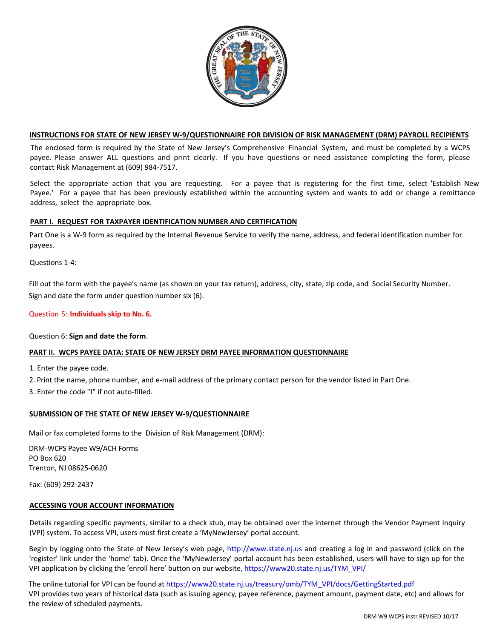

## **INSTRUCTIONS FOR STATE OF NEW JERSEY W-9/QUESTIONNAIRE FOR DIVISION OF RISK MANAGEMENT (DRM) PAYROLL RECIPIENTS**

The enclosed form is required by the State of New Jersey's Comprehensive Financial System, and must be completed by a WCPS payee. Please answer ALL questions and print clearly. If you have questions or need assistance completing the form, please contact Risk Management at (609) 984-7517.

Select the appropriate action that you are requesting. For a payee that is registering for the first time, select 'Establish New Payee.' For a payee that has been previously established within the accounting system and wants to add or change a remittance address, select the appropriate box.

## **PART I. REQUEST FOR TAXPAYER IDENTIFICATION NUMBER AND CERTIFICATION**

Part One is a W-9 form as required by the Internal Revenue Service to verify the name, address, and federal identification number for payees.

Questions 1-4:

Fill out the form with the payee's name (as shown on your tax return), address, city, state, zip code, and Social Security Number. Sign and date the form under question number six (6).

## Question 5: **Individuals skip to No. 6.**

#### Question 6: **Sign and date the form**.

# **PART II. WCPS PAYEE DATA: STATE OF NEW JERSEY DRM PAYEE INFORMATION QUESTIONNAIRE**

1. Enter the payee code.

2. Print the name, phone number, and e-mail address of the primary contact person for the vendor listed in Part One.

3. Enter the code "I" if not auto-filled.

#### **SUBMISSION OF THE STATE OF NEW JERSEY W-9/QUESTIONNAIRE**

Mail or fax completed forms to the Division of Risk Management (DRM):

DRM-WCPS Payee W9/ACH Forms PO Box 620 Trenton, NJ 08625-0620

Fax: (609) 292-2437

#### **ACCESSING YOUR ACCOUNT INFORMATION**

Details regarding specific payments, similar to a check stub, may be obtained over the internet through the Vendor Payment Inquiry (VPI) system. To access VPI, users must first create a 'MyNewJersey' portal account.

Begin by logging onto the State of New Jersey's web page, [http://www.state.nj.us](http://www.state.nj.us/) and creating a log in and password (click on the 'register' link under the 'home' tab). Once the 'MyNewJersey' portal account has been established, users will have to sign up for the VPI application by clicking the 'enroll here' button on our website, [https://www20.state.nj.us/TYM\\_VPI/](https://www20.state.nj.us/TYM_VPI/home) 

The online tutorial for VPI can be found at [https://www20.state.nj.us/treasury/omb/TYM\\_VPI/docs/GettingStarted.pdf](https://www20.state.nj.us/treasury/omb/TYM_VPI/docs/GettingStarted.pdf) VPI provides two years of historical data (such as issuing agency, payee reference, payment amount, payment date, etc) and allows for the review of scheduled payments.